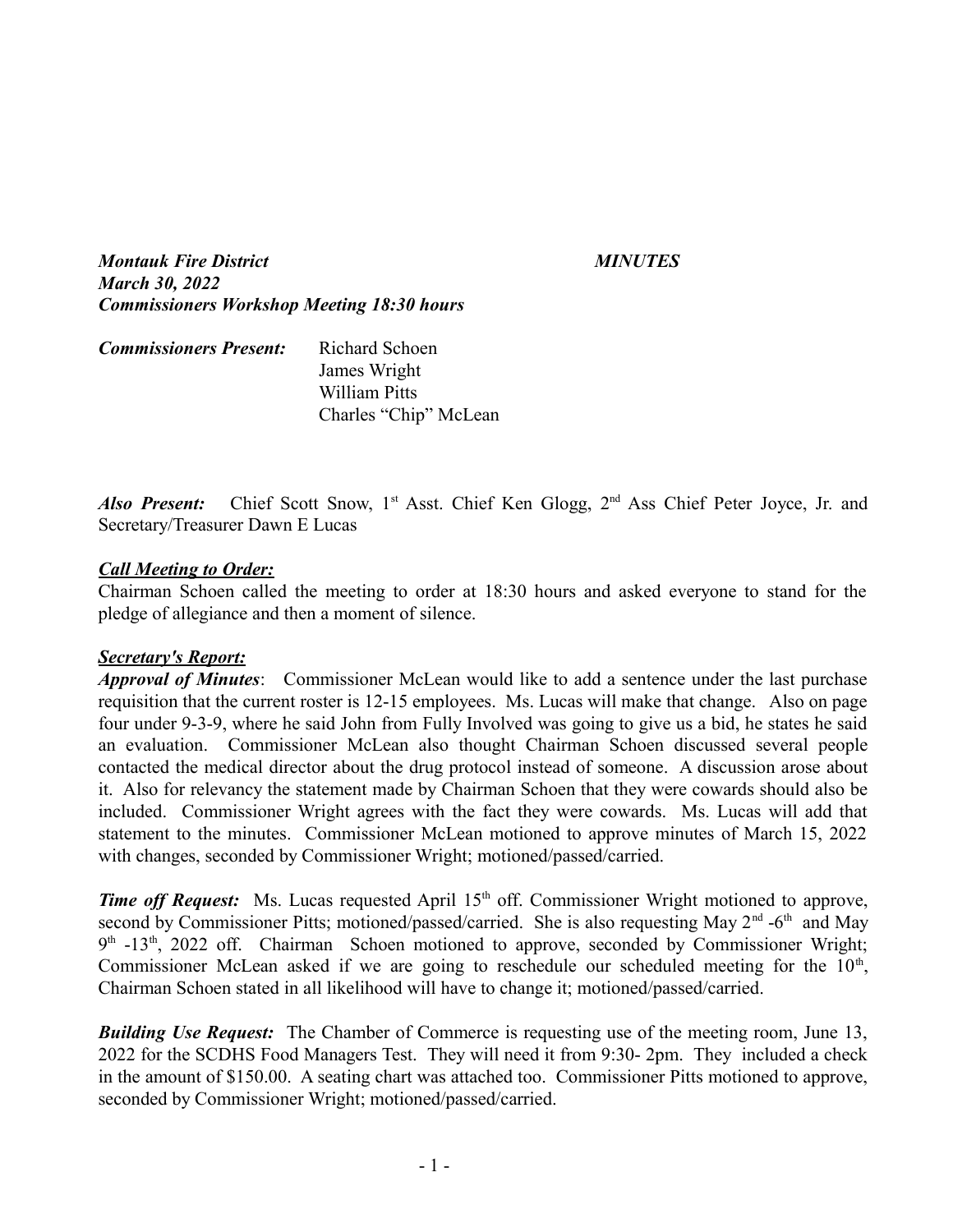*Montauk Fire District MINUTES March 30, 2022 Commissioners Workshop Meeting 18:30 hours*

| <b>Commissioners Present:</b> | Richard Schoen        |
|-------------------------------|-----------------------|
|                               | James Wright          |
|                               | William Pitts         |
|                               | Charles "Chip" McLean |

Also Present: Chief Scott Snow, 1<sup>st</sup> Asst. Chief Ken Glogg, 2<sup>nd</sup> Ass Chief Peter Joyce, Jr. and Secretary/Treasurer Dawn E Lucas

### *Call Meeting to Order:*

Chairman Schoen called the meeting to order at 18:30 hours and asked everyone to stand for the pledge of allegiance and then a moment of silence.

### *Secretary's Report:*

*Approval of Minutes*: Commissioner McLean would like to add a sentence under the last purchase requisition that the current roster is 12-15 employees. Ms. Lucas will make that change. Also on page four under 9-3-9, where he said John from Fully Involved was going to give us a bid, he states he said an evaluation. Commissioner McLean also thought Chairman Schoen discussed several people contacted the medical director about the drug protocol instead of someone. A discussion arose about it. Also for relevancy the statement made by Chairman Schoen that they were cowards should also be included. Commissioner Wright agrees with the fact they were cowards. Ms. Lucas will add that statement to the minutes. Commissioner McLean motioned to approve minutes of March 15, 2022 with changes, seconded by Commissioner Wright; motioned/passed/carried.

*Time off Request:* Ms. Lucas requested April 15<sup>th</sup> off. Commissioner Wright motioned to approve, second by Commissioner Pitts; motioned/passed/carried. She is also requesting May  $2<sup>nd</sup>$  -6<sup>th</sup> and May 9<sup>th</sup> -13<sup>th</sup>, 2022 off. Chairman Schoen motioned to approve, seconded by Commissioner Wright; Commissioner McLean asked if we are going to reschedule our scheduled meeting for the  $10<sup>th</sup>$ , Chairman Schoen stated in all likelihood will have to change it; motioned/passed/carried.

**Building Use Request:** The Chamber of Commerce is requesting use of the meeting room, June 13, 2022 for the SCDHS Food Managers Test. They will need it from 9:30- 2pm. They included a check in the amount of \$150.00. A seating chart was attached too. Commissioner Pitts motioned to approve, seconded by Commissioner Wright; motioned/passed/carried.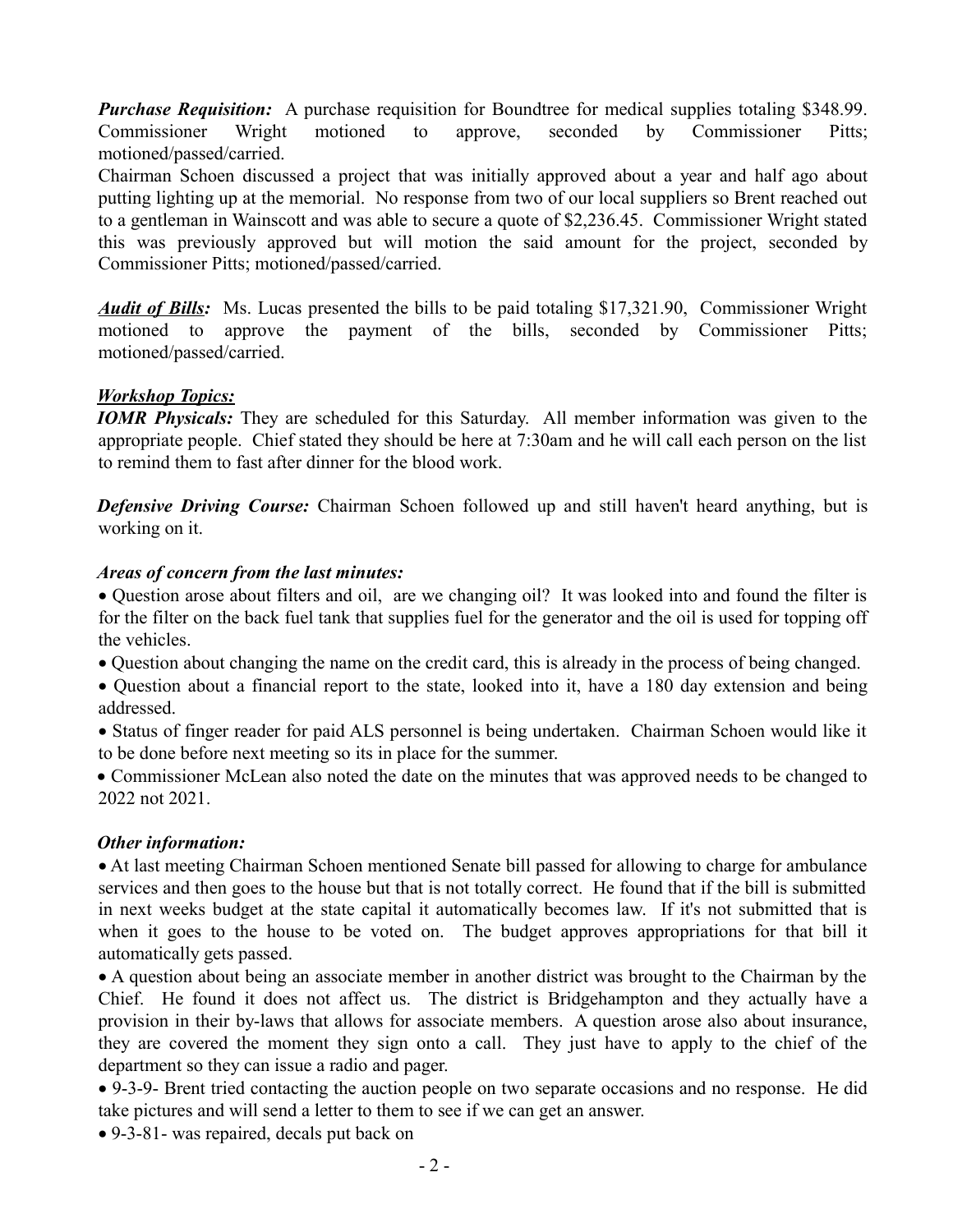*Purchase Requisition:* A purchase requisition for Boundtree for medical supplies totaling \$348.99. Commissioner Wright motioned to approve, seconded by Commissioner Pitts; motioned/passed/carried.

Chairman Schoen discussed a project that was initially approved about a year and half ago about putting lighting up at the memorial. No response from two of our local suppliers so Brent reached out to a gentleman in Wainscott and was able to secure a quote of \$2,236.45. Commissioner Wright stated this was previously approved but will motion the said amount for the project, seconded by Commissioner Pitts; motioned/passed/carried.

*Audit of Bills:* Ms. Lucas presented the bills to be paid totaling \$17,321.90, Commissioner Wright motioned to approve the payment of the bills, seconded by Commissioner Pitts; motioned/passed/carried.

# *Workshop Topics:*

*IOMR Physicals:* They are scheduled for this Saturday. All member information was given to the appropriate people. Chief stated they should be here at 7:30am and he will call each person on the list to remind them to fast after dinner for the blood work.

**Defensive Driving Course:** Chairman Schoen followed up and still haven't heard anything, but is working on it.

# *Areas of concern from the last minutes:*

· Question arose about filters and oil, are we changing oil? It was looked into and found the filter is for the filter on the back fuel tank that supplies fuel for the generator and the oil is used for topping off the vehicles.

· Question about changing the name on the credit card, this is already in the process of being changed.

· Question about a financial report to the state, looked into it, have a 180 day extension and being addressed.

· Status of finger reader for paid ALS personnel is being undertaken. Chairman Schoen would like it to be done before next meeting so its in place for the summer.

· Commissioner McLean also noted the date on the minutes that was approved needs to be changed to 2022 not 2021.

# *Other information:*

· At last meeting Chairman Schoen mentioned Senate bill passed for allowing to charge for ambulance services and then goes to the house but that is not totally correct. He found that if the bill is submitted in next weeks budget at the state capital it automatically becomes law. If it's not submitted that is when it goes to the house to be voted on. The budget approves appropriations for that bill it automatically gets passed.

· A question about being an associate member in another district was brought to the Chairman by the Chief. He found it does not affect us. The district is Bridgehampton and they actually have a provision in their by-laws that allows for associate members. A question arose also about insurance, they are covered the moment they sign onto a call. They just have to apply to the chief of the department so they can issue a radio and pager.

· 9-3-9- Brent tried contacting the auction people on two separate occasions and no response. He did take pictures and will send a letter to them to see if we can get an answer.

· 9-3-81- was repaired, decals put back on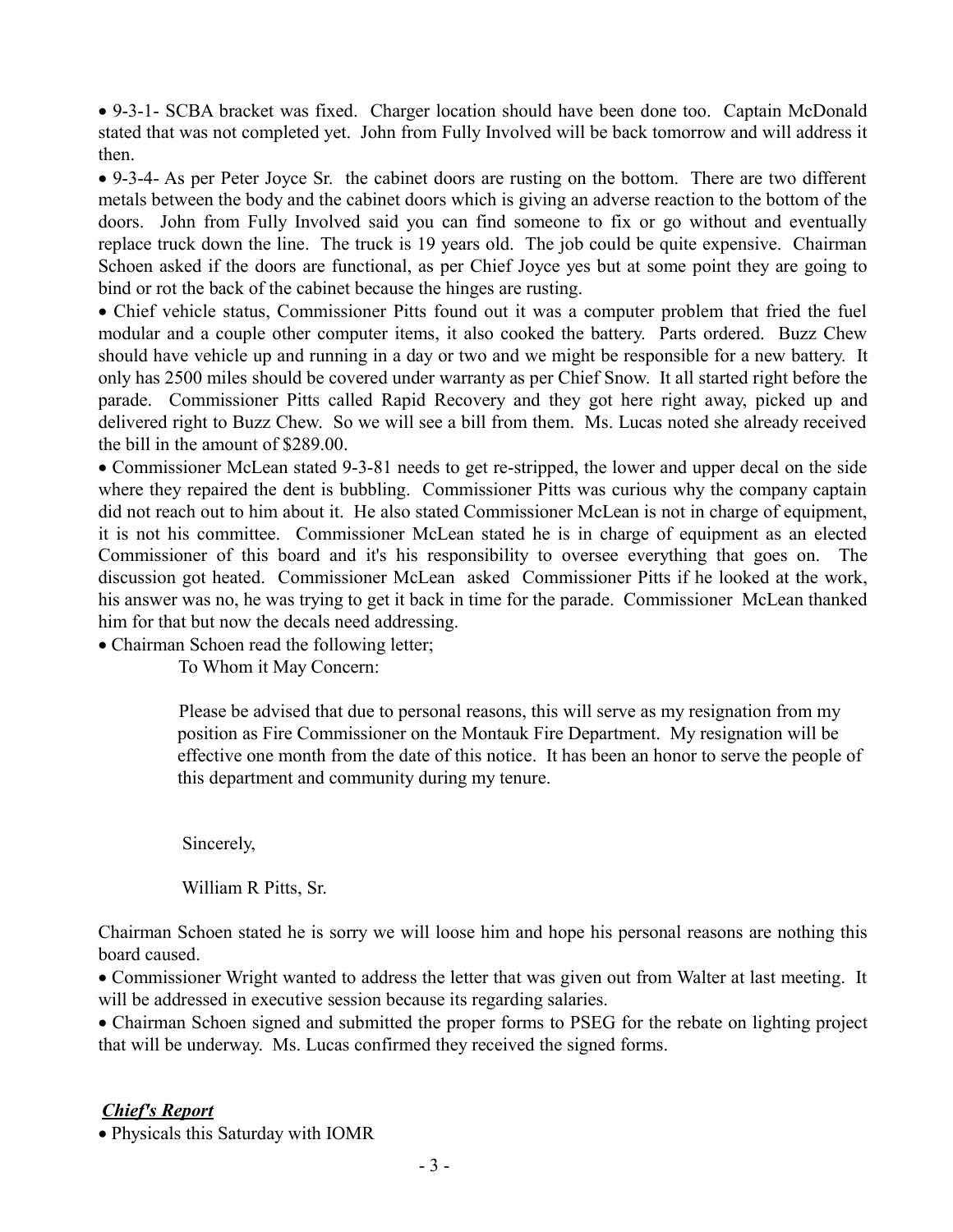· 9-3-1- SCBA bracket was fixed. Charger location should have been done too. Captain McDonald stated that was not completed yet. John from Fully Involved will be back tomorrow and will address it then.

· 9-3-4- As per Peter Joyce Sr. the cabinet doors are rusting on the bottom. There are two different metals between the body and the cabinet doors which is giving an adverse reaction to the bottom of the doors. John from Fully Involved said you can find someone to fix or go without and eventually replace truck down the line. The truck is 19 years old. The job could be quite expensive. Chairman Schoen asked if the doors are functional, as per Chief Joyce yes but at some point they are going to bind or rot the back of the cabinet because the hinges are rusting.

· Chief vehicle status, Commissioner Pitts found out it was a computer problem that fried the fuel modular and a couple other computer items, it also cooked the battery. Parts ordered. Buzz Chew should have vehicle up and running in a day or two and we might be responsible for a new battery. It only has 2500 miles should be covered under warranty as per Chief Snow. It all started right before the parade. Commissioner Pitts called Rapid Recovery and they got here right away, picked up and delivered right to Buzz Chew. So we will see a bill from them. Ms. Lucas noted she already received the bill in the amount of \$289.00.

· Commissioner McLean stated 9-3-81 needs to get re-stripped, the lower and upper decal on the side where they repaired the dent is bubbling. Commissioner Pitts was curious why the company captain did not reach out to him about it. He also stated Commissioner McLean is not in charge of equipment, it is not his committee. Commissioner McLean stated he is in charge of equipment as an elected Commissioner of this board and it's his responsibility to oversee everything that goes on. The discussion got heated. Commissioner McLean asked Commissioner Pitts if he looked at the work, his answer was no, he was trying to get it back in time for the parade. Commissioner McLean thanked him for that but now the decals need addressing.

• Chairman Schoen read the following letter;

To Whom it May Concern:

 Please be advised that due to personal reasons, this will serve as my resignation from my position as Fire Commissioner on the Montauk Fire Department. My resignation will be effective one month from the date of this notice. It has been an honor to serve the people of this department and community during my tenure.

Sincerely,

William R Pitts, Sr.

Chairman Schoen stated he is sorry we will loose him and hope his personal reasons are nothing this board caused.

· Commissioner Wright wanted to address the letter that was given out from Walter at last meeting. It will be addressed in executive session because its regarding salaries.

· Chairman Schoen signed and submitted the proper forms to PSEG for the rebate on lighting project that will be underway. Ms. Lucas confirmed they received the signed forms.

### *Chief's Report*

· Physicals this Saturday with IOMR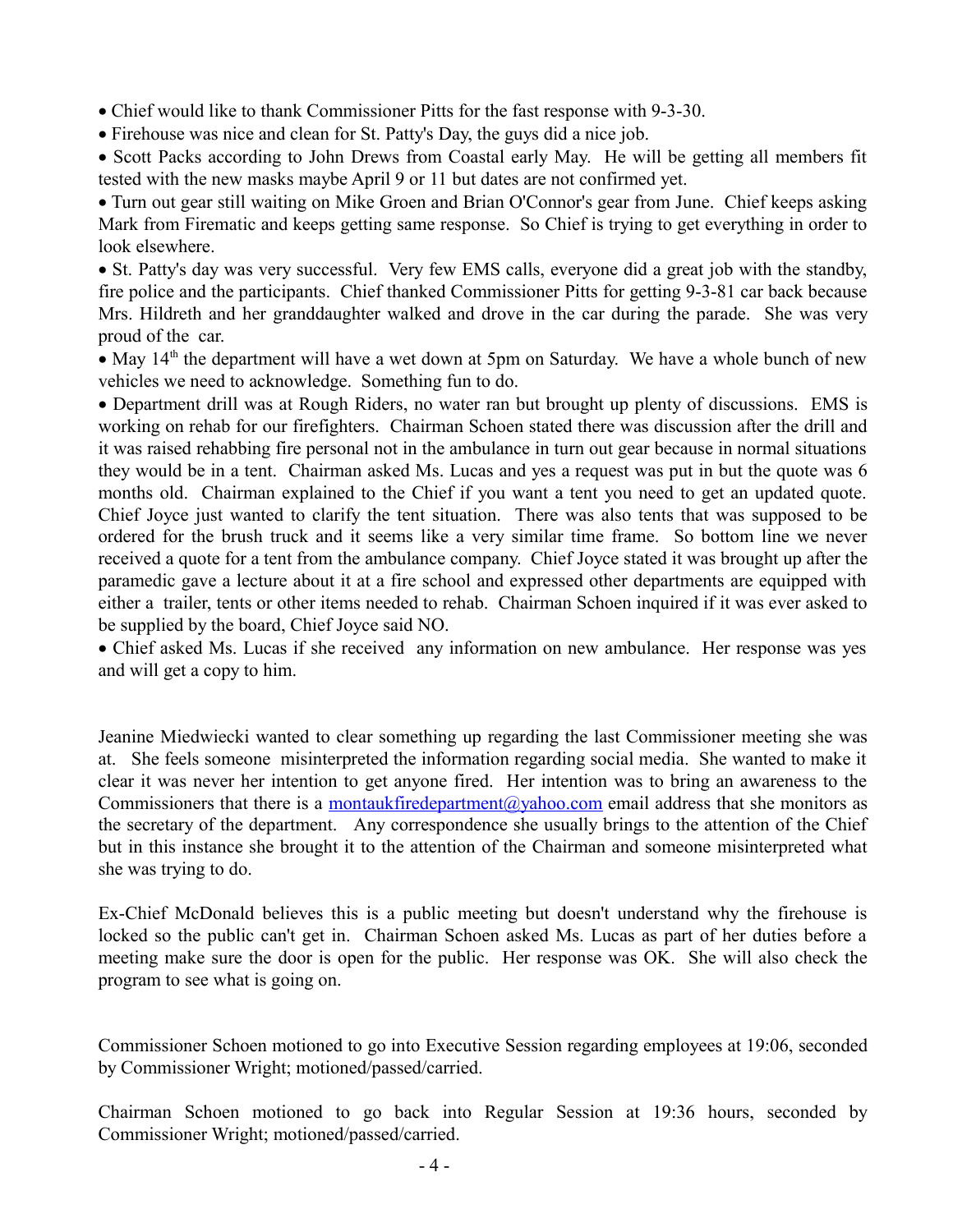· Chief would like to thank Commissioner Pitts for the fast response with 9-3-30.

· Firehouse was nice and clean for St. Patty's Day, the guys did a nice job.

· Scott Packs according to John Drews from Coastal early May. He will be getting all members fit tested with the new masks maybe April 9 or 11 but dates are not confirmed yet.

· Turn out gear still waiting on Mike Groen and Brian O'Connor's gear from June. Chief keeps asking Mark from Firematic and keeps getting same response. So Chief is trying to get everything in order to look elsewhere.

· St. Patty's day was very successful. Very few EMS calls, everyone did a great job with the standby, fire police and the participants. Chief thanked Commissioner Pitts for getting 9-3-81 car back because Mrs. Hildreth and her granddaughter walked and drove in the car during the parade. She was very proud of the car.

• May  $14<sup>th</sup>$  the department will have a wet down at 5pm on Saturday. We have a whole bunch of new vehicles we need to acknowledge. Something fun to do.

· Department drill was at Rough Riders, no water ran but brought up plenty of discussions. EMS is working on rehab for our firefighters. Chairman Schoen stated there was discussion after the drill and it was raised rehabbing fire personal not in the ambulance in turn out gear because in normal situations they would be in a tent. Chairman asked Ms. Lucas and yes a request was put in but the quote was 6 months old. Chairman explained to the Chief if you want a tent you need to get an updated quote. Chief Joyce just wanted to clarify the tent situation. There was also tents that was supposed to be ordered for the brush truck and it seems like a very similar time frame. So bottom line we never received a quote for a tent from the ambulance company. Chief Joyce stated it was brought up after the paramedic gave a lecture about it at a fire school and expressed other departments are equipped with either a trailer, tents or other items needed to rehab. Chairman Schoen inquired if it was ever asked to be supplied by the board, Chief Joyce said NO.

· Chief asked Ms. Lucas if she received any information on new ambulance. Her response was yes and will get a copy to him.

Jeanine Miedwiecki wanted to clear something up regarding the last Commissioner meeting she was at. She feels someone misinterpreted the information regarding social media. She wanted to make it clear it was never her intention to get anyone fired. Her intention was to bring an awareness to the Commissioners that there is a [montaukfiredepartment@yahoo.com](mailto:montaukfiredepartment@yahoo.com) email address that she monitors as the secretary of the department. Any correspondence she usually brings to the attention of the Chief but in this instance she brought it to the attention of the Chairman and someone misinterpreted what she was trying to do.

Ex-Chief McDonald believes this is a public meeting but doesn't understand why the firehouse is locked so the public can't get in. Chairman Schoen asked Ms. Lucas as part of her duties before a meeting make sure the door is open for the public. Her response was OK. She will also check the program to see what is going on.

Commissioner Schoen motioned to go into Executive Session regarding employees at 19:06, seconded by Commissioner Wright; motioned/passed/carried.

Chairman Schoen motioned to go back into Regular Session at 19:36 hours, seconded by Commissioner Wright; motioned/passed/carried.